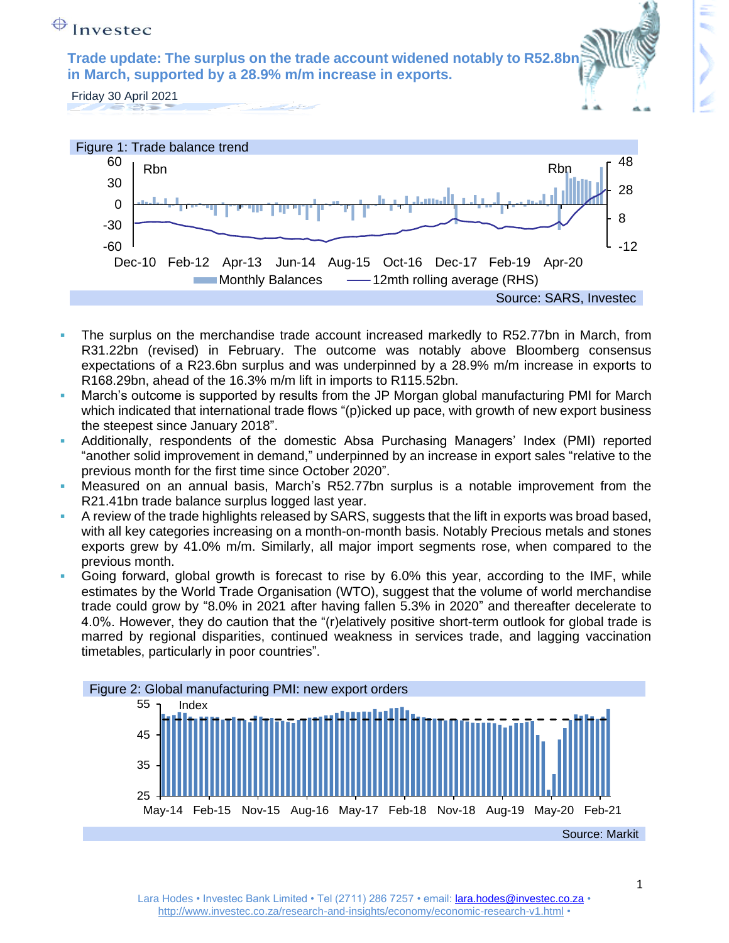## $\bigoplus$  Investec

**Trade update: The surplus on the trade account widened notably to R52.8b in March, supported by a 28.9% m/m increase in exports.**

Friday 30 April 2021



- The surplus on the merchandise trade account increased markedly to R52.77bn in March, from R31.22bn (revised) in February. The outcome was notably above Bloomberg consensus expectations of a R23.6bn surplus and was underpinned by a 28.9% m/m increase in exports to R168.29bn, ahead of the 16.3% m/m lift in imports to R115.52bn.
- March's outcome is supported by results from the JP Morgan global manufacturing PMI for March which indicated that international trade flows "(p)icked up pace, with growth of new export business the steepest since January 2018".
- Additionally, respondents of the domestic Absa Purchasing Managers' Index (PMI) reported "another solid improvement in demand," underpinned by an increase in export sales "relative to the previous month for the first time since October 2020".
- Measured on an annual basis, March's R52.77bn surplus is a notable improvement from the R21.41bn trade balance surplus logged last year.
- A review of the trade highlights released by SARS, suggests that the lift in exports was broad based, with all key categories increasing on a month-on-month basis. Notably Precious metals and stones exports grew by 41.0% m/m. Similarly, all major import segments rose, when compared to the previous month.
- Going forward, global growth is forecast to rise by 6.0% this year, according to the IMF, while estimates by the World Trade Organisation (WTO), suggest that the volume of world merchandise trade could grow by "8.0% in 2021 after having fallen 5.3% in 2020" and thereafter decelerate to 4.0%. However, they do caution that the "(r)elatively positive short-term outlook for global trade is marred by regional disparities, continued weakness in services trade, and lagging vaccination timetables, particularly in poor countries".

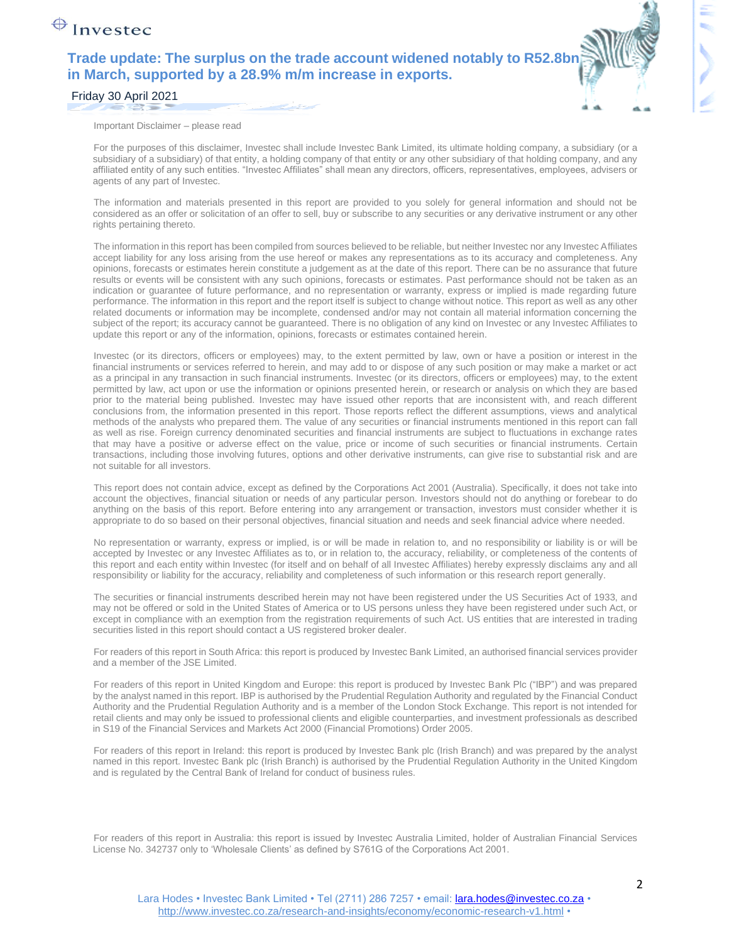## $\bigoplus$  Investec

### **Trade update: The surplus on the trade account widened notably to R52.8br in March, supported by a 28.9% m/m increase in exports.**



#### Friday 30 April 2021

Important Disclaimer – please read

For the purposes of this disclaimer, Investec shall include Investec Bank Limited, its ultimate holding company, a subsidiary (or a subsidiary of a subsidiary) of that entity, a holding company of that entity or any other subsidiary of that holding company, and any affiliated entity of any such entities. "Investec Affiliates" shall mean any directors, officers, representatives, employees, advisers or agents of any part of Investec.

The information and materials presented in this report are provided to you solely for general information and should not be considered as an offer or solicitation of an offer to sell, buy or subscribe to any securities or any derivative instrument or any other rights pertaining thereto.

The information in this report has been compiled from sources believed to be reliable, but neither Investec nor any Investec Affiliates accept liability for any loss arising from the use hereof or makes any representations as to its accuracy and completeness. Any opinions, forecasts or estimates herein constitute a judgement as at the date of this report. There can be no assurance that future results or events will be consistent with any such opinions, forecasts or estimates. Past performance should not be taken as an indication or guarantee of future performance, and no representation or warranty, express or implied is made regarding future performance. The information in this report and the report itself is subject to change without notice. This report as well as any other related documents or information may be incomplete, condensed and/or may not contain all material information concerning the subject of the report; its accuracy cannot be guaranteed. There is no obligation of any kind on Investec or any Investec Affiliates to update this report or any of the information, opinions, forecasts or estimates contained herein.

Investec (or its directors, officers or employees) may, to the extent permitted by law, own or have a position or interest in the financial instruments or services referred to herein, and may add to or dispose of any such position or may make a market or act as a principal in any transaction in such financial instruments. Investec (or its directors, officers or employees) may, to the extent permitted by law, act upon or use the information or opinions presented herein, or research or analysis on which they are based prior to the material being published. Investec may have issued other reports that are inconsistent with, and reach different conclusions from, the information presented in this report. Those reports reflect the different assumptions, views and analytical methods of the analysts who prepared them. The value of any securities or financial instruments mentioned in this report can fall as well as rise. Foreign currency denominated securities and financial instruments are subject to fluctuations in exchange rates that may have a positive or adverse effect on the value, price or income of such securities or financial instruments. Certain transactions, including those involving futures, options and other derivative instruments, can give rise to substantial risk and are not suitable for all investors.

This report does not contain advice, except as defined by the Corporations Act 2001 (Australia). Specifically, it does not take into account the objectives, financial situation or needs of any particular person. Investors should not do anything or forebear to do anything on the basis of this report. Before entering into any arrangement or transaction, investors must consider whether it is appropriate to do so based on their personal objectives, financial situation and needs and seek financial advice where needed.

No representation or warranty, express or implied, is or will be made in relation to, and no responsibility or liability is or will be accepted by Investec or any Investec Affiliates as to, or in relation to, the accuracy, reliability, or completeness of the contents of this report and each entity within Investec (for itself and on behalf of all Investec Affiliates) hereby expressly disclaims any and all responsibility or liability for the accuracy, reliability and completeness of such information or this research report generally.

The securities or financial instruments described herein may not have been registered under the US Securities Act of 1933, and may not be offered or sold in the United States of America or to US persons unless they have been registered under such Act, or except in compliance with an exemption from the registration requirements of such Act. US entities that are interested in trading securities listed in this report should contact a US registered broker dealer.

For readers of this report in South Africa: this report is produced by Investec Bank Limited, an authorised financial services provider and a member of the JSE Limited.

For readers of this report in United Kingdom and Europe: this report is produced by Investec Bank Plc ("IBP") and was prepared by the analyst named in this report. IBP is authorised by the Prudential Regulation Authority and regulated by the Financial Conduct Authority and the Prudential Regulation Authority and is a member of the London Stock Exchange. This report is not intended for retail clients and may only be issued to professional clients and eligible counterparties, and investment professionals as described in S19 of the Financial Services and Markets Act 2000 (Financial Promotions) Order 2005.

For readers of this report in Ireland: this report is produced by Investec Bank plc (Irish Branch) and was prepared by the analyst named in this report. Investec Bank plc (Irish Branch) is authorised by the Prudential Regulation Authority in the United Kingdom and is regulated by the Central Bank of Ireland for conduct of business rules.

For readers of this report in Australia: this report is issued by Investec Australia Limited, holder of Australian Financial Services License No. 342737 only to 'Wholesale Clients' as defined by S761G of the Corporations Act 2001.